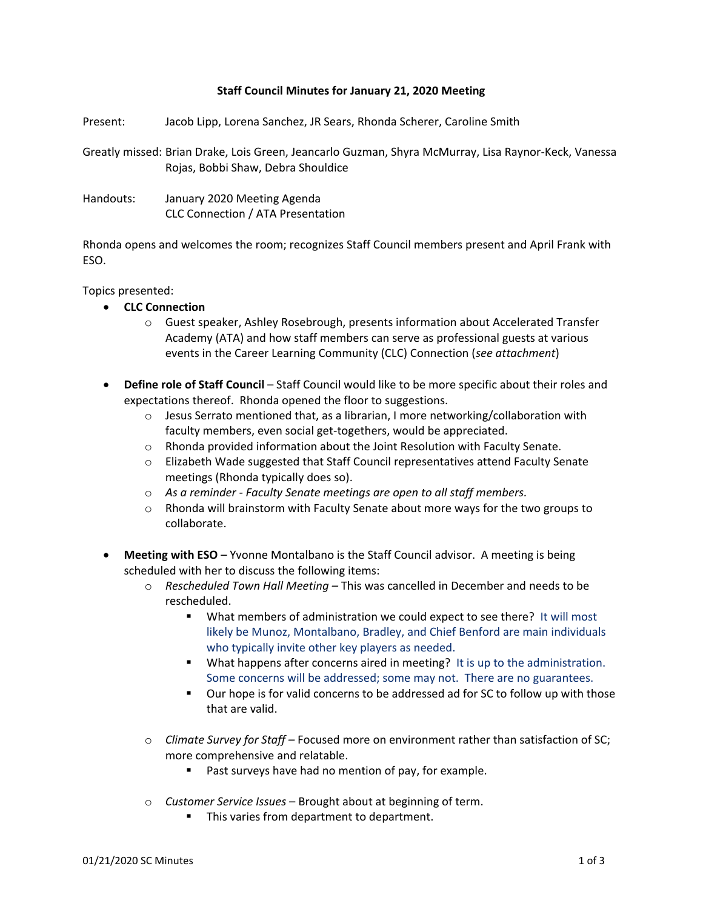### **Staff Council Minutes for January 21, 2020 Meeting**

Present: Jacob Lipp, Lorena Sanchez, JR Sears, Rhonda Scherer, Caroline Smith

Greatly missed: Brian Drake, Lois Green, Jeancarlo Guzman, Shyra McMurray, Lisa Raynor-Keck, Vanessa Rojas, Bobbi Shaw, Debra Shouldice

Handouts: January 2020 Meeting Agenda CLC Connection / ATA Presentation

Rhonda opens and welcomes the room; recognizes Staff Council members present and April Frank with ESO.

### Topics presented:

- **CLC Connection** 
	- o Guest speaker, Ashley Rosebrough, presents information about Accelerated Transfer Academy (ATA) and how staff members can serve as professional guests at various events in the Career Learning Community (CLC) Connection (*see attachment*)
- **Define role of Staff Council**  Staff Council would like to be more specific about their roles and expectations thereof. Rhonda opened the floor to suggestions.
	- $\circ$  Jesus Serrato mentioned that, as a librarian, I more networking/collaboration with faculty members, even social get-togethers, would be appreciated.
	- o Rhonda provided information about the Joint Resolution with Faculty Senate.
	- $\circ$  Elizabeth Wade suggested that Staff Council representatives attend Faculty Senate meetings (Rhonda typically does so).
	- o *As a reminder - Faculty Senate meetings are open to all staff members.*
	- $\circ$  Rhonda will brainstorm with Faculty Senate about more ways for the two groups to collaborate.
- **Meeting with ESO** Yvonne Montalbano is the Staff Council advisor. A meeting is being scheduled with her to discuss the following items:
	- o *Rescheduled Town Hall Meeting –* This was cancelled in December and needs to be rescheduled.
		- What members of administration we could expect to see there? It will most likely be Munoz, Montalbano, Bradley, and Chief Benford are main individuals who typically invite other key players as needed.
		- **What happens after concerns aired in meeting?** It is up to the administration. Some concerns will be addressed; some may not. There are no guarantees.
		- Our hope is for valid concerns to be addressed ad for SC to follow up with those that are valid.
	- o *Climate Survey for Staff –* Focused more on environment rather than satisfaction of SC; more comprehensive and relatable.
		- **Past surveys have had no mention of pay, for example.**
	- o *Customer Service Issues*  Brought about at beginning of term.
		- **This varies from department to department.**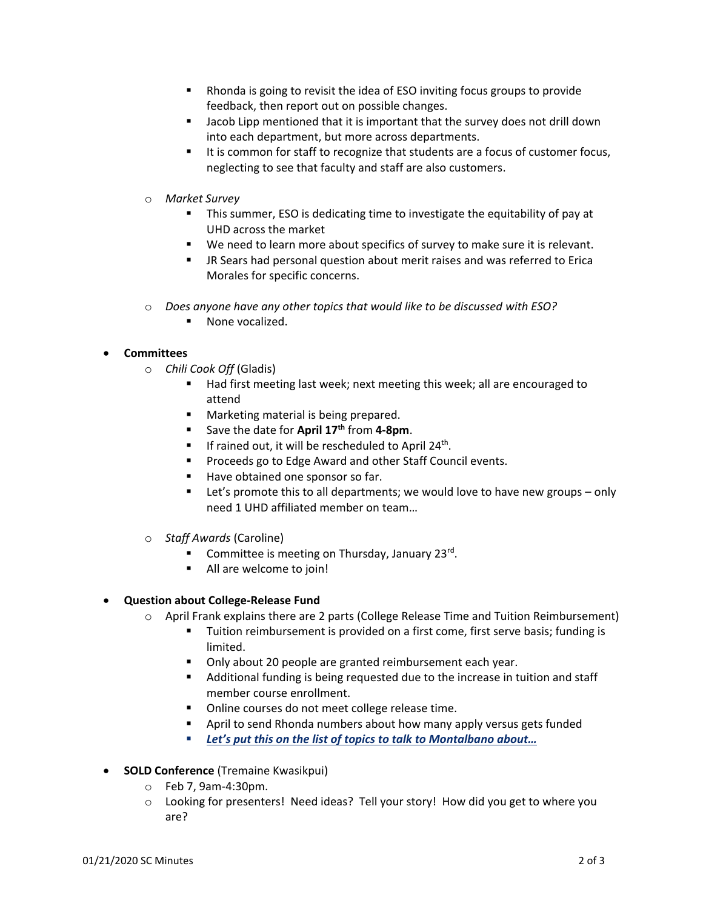- Rhonda is going to revisit the idea of ESO inviting focus groups to provide feedback, then report out on possible changes.
- Jacob Lipp mentioned that it is important that the survey does not drill down into each department, but more across departments.
- It is common for staff to recognize that students are a focus of customer focus, neglecting to see that faculty and staff are also customers.
- o *Market Survey*
	- **This summer, ESO is dedicating time to investigate the equitability of pay at** UHD across the market
	- We need to learn more about specifics of survey to make sure it is relevant.
	- JR Sears had personal question about merit raises and was referred to Erica Morales for specific concerns.
- o *Does anyone have any other topics that would like to be discussed with ESO?* 
	- **None vocalized.**

# **Committees**

- o *Chili Cook Off* (Gladis)
	- Had first meeting last week; next meeting this week; all are encouraged to attend
	- **Marketing material is being prepared.**
	- Save the date for **April 17th** from **4-8pm**.
	- If rained out, it will be rescheduled to April 24<sup>th</sup>.
	- **Proceeds go to Edge Award and other Staff Council events.**
	- Have obtained one sponsor so far.
	- Let's promote this to all departments; we would love to have new groups only need 1 UHD affiliated member on team…
- o *Staff Awards* (Caroline)
	- Committee is meeting on Thursday, January 23rd.
	- All are welcome to join!

# **Question about College-Release Fund**

- o April Frank explains there are 2 parts (College Release Time and Tuition Reimbursement)
	- **Tuition reimbursement is provided on a first come, first serve basis; funding is** limited.
	- **Only about 20 people are granted reimbursement each year.**
	- Additional funding is being requested due to the increase in tuition and staff member course enrollment.
	- Online courses do not meet college release time.
	- **E** April to send Rhonda numbers about how many apply versus gets funded
	- *Let's put this on the list of topics to talk to Montalbano about…*
- **SOLD Conference** (Tremaine Kwasikpui)
	- o Feb 7, 9am-4:30pm.
	- o Looking for presenters! Need ideas? Tell your story! How did you get to where you are?